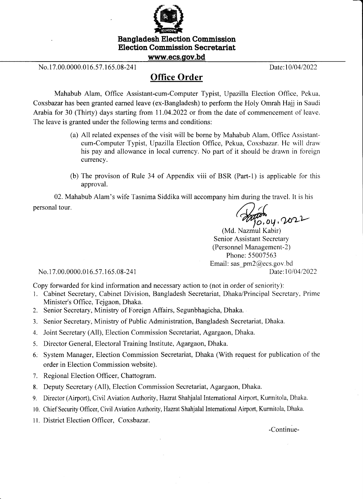

Bangladesh Election Commission Election Commission Secretariat

www.ecs.gov.bd

No. 17.00.0000.016.57.165.08-241 Date:10/04/2022

## Office Order

Mahabub Alam, Office Assistant-cum-Computer Typist, Upazilla Election Office, Pekua, Coxsbazar has been granted earned leave (ex-Bangladesh) to perform the Holy Omrah Hajj in Saudi Arabia for 30 (Thirty) days starting from 11.04.2022 or from the date of commencement of leave. The leave is granted under the following terms and conditions:

- (a) All related expenses of the visit will be borne by Mahabub Alam. Office Assistanlcum-Computer Typist, Upazilla Election Office, Pekua, Coxsbazar. He will draw his pay and allowance in local currency. No part of it should be drawn in foreign currencv.
- (b) The provison of Rule 34 of Appendix viii of BSR (Part-1) is applicable for this approval.

02. Mahabub Alam's wife Tasnima Siddika will accompany him during the travel. It is his personal tour.

 $\gamma_{0,0y,202}$ <br>(Md. Nazmul Kabir)

Senior Assistant Secretary (Personnel Management-2) Phone: 55007563 Email: sas\_pm2@ecs.gov.bd<br>Date:10/04/2022

No. 17.00.0000.016.57.165.08-241

Copy forwarded for kind information and necessary action to (not in order of seniority):

- 1. Cabinet Secretary, Cabinet Division, Bangladesh Secretariat, Dhaka/Principal Secretary, Prime Minister's Office, Tejgaon, Dhaka.
- 2. Senior Secretary, Ministry of Foreign Affairs, Segunbhagicha, Dhaka.
- 3. Senior Secretary, Ministry of Public Administration, Bangladesh Secretariat, Dhaka.
- 4. Joint Secretary (All), Election Commission Secretariat, Agargaon, Dhaka.
- 5. Director General, Electoral Training Institute, Agargaon, Dhaka.
- 6. System Manager, Election Commission Secretariat, Dhaka (With request for publication of the order in Election Commission website).
- 7. Regional Election Officer, Chattogram.
- 8. Deputy Secretary (All), Election Commission Secretariat, Agargaon, Dhaka.
- 9. Director (Airport), Civil Aviation Authority, Hazrat Shahjalal International Airport, Kurmitola, Dhaka.
- 10. Chief Security Officer, Civil Aviation Authority, Hazrat Shahjalal International Airport, Kurmitola, Dhaka.
- 11. District Election Officer, Coxsbazar.

-continue-